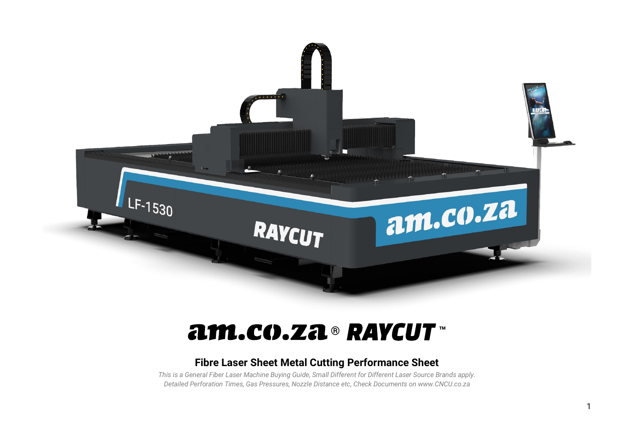

# **® ™**

#### **Fibre Laser Sheet Metal Cutting Performance Sheet**

*This is a General Fiber Laser Machine Buying Guide, Small Different for Different Laser Source Brands apply. Detailed Perforation Times, Gas Pressures, Nozzle Distance etc, Check Documents on www.CNCU.co.za*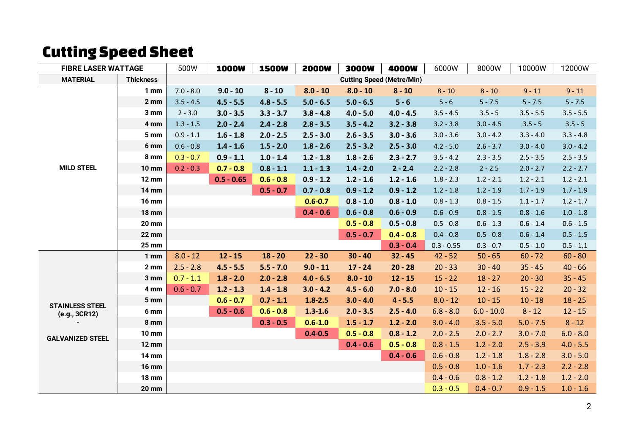### Cutting Speed Sheet

| <b>FIBRE LASER WATTAGE</b>          |                  | 500W                             | <b>1000W</b> | <b>1500W</b> | <b>2000W</b> | 3000W       | 4000W       | 6000W        | 8000W        | 10000W      | 12000W      |
|-------------------------------------|------------------|----------------------------------|--------------|--------------|--------------|-------------|-------------|--------------|--------------|-------------|-------------|
| <b>MATERIAL</b><br><b>Thickness</b> |                  | <b>Cutting Speed (Metre/Min)</b> |              |              |              |             |             |              |              |             |             |
|                                     | 1 <sub>mm</sub>  | $7.0 - 8.0$                      | $9.0 - 10$   | $8 - 10$     | $8.0 - 10$   | $8.0 - 10$  | $8 - 10$    | $8 - 10$     | $8 - 10$     | $9 - 11$    | $9 - 11$    |
|                                     | $2 \, \text{mm}$ | $3.5 - 4.5$                      | $4.5 - 5.5$  | $4.8 - 5.5$  | $5.0 - 6.5$  | $5.0 - 6.5$ | $5 - 6$     | $5 - 6$      | $5 - 7.5$    | $5 - 7.5$   | $5 - 7.5$   |
|                                     | 3 mm             | $2 - 3.0$                        | $3.0 - 3.5$  | $3.3 - 3.7$  | $3.8 - 4.8$  | $4.0 - 5.0$ | $4.0 - 4.5$ | $3.5 - 4.5$  | $3.5 - 5$    | $3.5 - 5.5$ | $3.5 - 5.5$ |
|                                     | 4 mm             | $1.3 - 1.5$                      | $2.0 - 2.4$  | $2.4 - 2.8$  | $2.8 - 3.5$  | $3.5 - 4.2$ | $3.2 - 3.8$ | $3.2 - 3.8$  | $3.0 - 4.5$  | $3.5 - 5$   | $3.5 - 5$   |
|                                     | 5 mm             | $0.9 - 1.1$                      | $1.6 - 1.8$  | $2.0 - 2.5$  | $2.5 - 3.0$  | $2.6 - 3.5$ | $3.0 - 3.6$ | $3.0 - 3.6$  | $3.0 - 4.2$  | $3.3 - 4.0$ | $3.3 - 4.8$ |
|                                     | 6 mm             | $0.6 - 0.8$                      | $1.4 - 1.6$  | $1.5 - 2.0$  | $1.8 - 2.6$  | $2.5 - 3.2$ | $2.5 - 3.0$ | $4.2 - 5.0$  | $2.6 - 3.7$  | $3.0 - 4.0$ | $3.0 - 4.2$ |
|                                     | 8 mm             | $0.3 - 0.7$                      | $0.9 - 1.1$  | $1.0 - 1.4$  | $1.2 - 1.8$  | $1.8 - 2.6$ | $2.3 - 2.7$ | $3.5 - 4.2$  | $2.3 - 3.5$  | $2.5 - 3.5$ | $2.5 - 3.5$ |
| <b>MILD STEEL</b>                   | <b>10 mm</b>     | $0.2 - 0.3$                      | $0.7 - 0.8$  | $0.8 - 1.1$  | $1.1 - 1.3$  | $1.4 - 2.0$ | $2 - 2.4$   | $2.2 - 2.8$  | $2 - 2.5$    | $2.0 - 2.7$ | $2.2 - 2.7$ |
|                                     | <b>12 mm</b>     |                                  | $0.5 - 0.65$ | $0.6 - 0.8$  | $0.9 - 1.2$  | $1.2 - 1.6$ | $1.2 - 1.6$ | $1.8 - 2.3$  | $1.2 - 2.1$  | $1.2 - 2.1$ | $1.2 - 2.1$ |
|                                     | <b>14 mm</b>     |                                  |              | $0.5 - 0.7$  | $0.7 - 0.8$  | $0.9 - 1.2$ | $0.9 - 1.2$ | $1.2 - 1.8$  | $1.2 - 1.9$  | $1.7 - 1.9$ | $1.7 - 1.9$ |
|                                     | <b>16 mm</b>     |                                  |              |              | $0.6 - 0.7$  | $0.8 - 1.0$ | $0.8 - 1.0$ | $0.8 - 1.3$  | $0.8 - 1.5$  | $1.1 - 1.7$ | $1.2 - 1.7$ |
|                                     | <b>18 mm</b>     |                                  |              |              | $0.4 - 0.6$  | $0.6 - 0.8$ | $0.6 - 0.9$ | $0.6 - 0.9$  | $0.8 - 1.5$  | $0.8 - 1.6$ | $1.0 - 1.8$ |
|                                     | <b>20 mm</b>     |                                  |              |              |              | $0.5 - 0.8$ | $0.5 - 0.8$ | $0.5 - 0.8$  | $0.6 - 1.3$  | $0.6 - 1.4$ | $0.6 - 1.5$ |
|                                     | <b>22 mm</b>     |                                  |              |              |              | $0.5 - 0.7$ | $0.4 - 0.8$ | $0.4 - 0.8$  | $0.5 - 0.8$  | $0.6 - 1.4$ | $0.5 - 1.5$ |
|                                     | <b>25 mm</b>     |                                  |              |              |              |             | $0.3 - 0.4$ | $0.3 - 0.55$ | $0.3 - 0.7$  | $0.5 - 1.0$ | $0.5 - 1.1$ |
|                                     | 1 <sub>mm</sub>  | $8.0 - 12$                       | $12 - 15$    | $18 - 20$    | $22 - 30$    | $30 - 40$   | $32 - 45$   | $42 - 52$    | $50 - 65$    | $60 - 72$   | $60 - 80$   |
|                                     | 2 <sub>mm</sub>  | $2.5 - 2.8$                      | $4.5 - 5.5$  | $5.5 - 7.0$  | $9.0 - 11$   | $17 - 24$   | $20 - 28$   | $20 - 33$    | $30 - 40$    | $35 - 45$   | $40 - 66$   |
|                                     | 3 mm             | $0.7 - 1.1$                      | $1.8 - 2.0$  | $2.0 - 2.8$  | $4.0 - 6.5$  | $8.0 - 10$  | $12 - 15$   | $15 - 22$    | $18 - 27$    | $20 - 30$   | $35 - 45$   |
|                                     | 4 mm             | $0.6 - 0.7$                      | $1.2 - 1.3$  | $1.4 - 1.8$  | $3.0 - 4.2$  | $4.5 - 6.0$ | $7.0 - 8.0$ | $10 - 15$    | $12 - 16$    | $15 - 22$   | $20 - 32$   |
| <b>STAINLESS STEEL</b>              | 5 mm             |                                  | $0.6 - 0.7$  | $0.7 - 1.1$  | $1.8 - 2.5$  | $3.0 - 4.0$ | $4 - 5.5$   | $8.0 - 12$   | $10 - 15$    | $10 - 18$   | $18 - 25$   |
| (e.g., 3CR12)                       | 6 mm             |                                  | $0.5 - 0.6$  | $0.6 - 0.8$  | $1.3 - 1.6$  | $2.0 - 3.5$ | $2.5 - 4.0$ | $6.8 - 8.0$  | $6.0 - 10.0$ | $8 - 12$    | $12 - 15$   |
|                                     | 8 mm             |                                  |              | $0.3 - 0.5$  | $0.6 - 1.0$  | $1.5 - 1.7$ | $1.2 - 2.0$ | $3.0 - 4.0$  | $3.5 - 5.0$  | $5.0 - 7.5$ | $8 - 12$    |
| <b>GALVANIZED STEEL</b>             | <b>10 mm</b>     |                                  |              |              | $0.4 - 0.5$  | $0.5 - 0.8$ | $0.8 - 1.2$ | $2.0 - 2.5$  | $2.0 - 2.7$  | $3.0 - 7.0$ | $6.0 - 8.0$ |
|                                     | <b>12 mm</b>     |                                  |              |              |              | $0.4 - 0.6$ | $0.5 - 0.8$ | $0.8 - 1.5$  | $1.2 - 2.0$  | $2.5 - 3.9$ | $4.0 - 5.5$ |
|                                     | <b>14 mm</b>     |                                  |              |              |              |             | $0.4 - 0.6$ | $0.6 - 0.8$  | $1.2 - 1.8$  | $1.8 - 2.8$ | $3.0 - 5.0$ |
|                                     | <b>16 mm</b>     |                                  |              |              |              |             |             | $0.5 - 0.8$  | $1.0 - 1.6$  | $1.7 - 2.3$ | $2.2 - 2.8$ |
|                                     | <b>18 mm</b>     |                                  |              |              |              |             |             | $0.4 - 0.6$  | $0.8 - 1.2$  | $1.2 - 1.8$ | $1.2 - 2.0$ |
|                                     | <b>20 mm</b>     |                                  |              |              |              |             |             | $0.3 - 0.5$  | $0.4 - 0.7$  | $0.9 - 1.5$ | $1.0 - 1.6$ |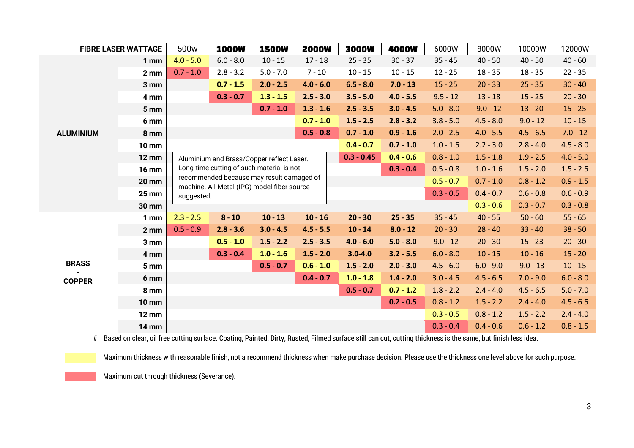| <b>FIBRE LASER WATTAGE</b> |                 | 500 <sub>w</sub>                                                                                        | <b>1000W</b> | <b>1500W</b>                              | <b>2000W</b> | <b>3000W</b> | 4000W       | 6000W       | 8000W       | 10000W      | 12000W      |
|----------------------------|-----------------|---------------------------------------------------------------------------------------------------------|--------------|-------------------------------------------|--------------|--------------|-------------|-------------|-------------|-------------|-------------|
|                            | 1 <sub>mm</sub> | $4.0 - 5.0$                                                                                             | $6.0 - 8.0$  | $10 - 15$                                 | $17 - 18$    | $25 - 35$    | $30 - 37$   | $35 - 45$   | $40 - 50$   | $40 - 50$   | $40 - 60$   |
|                            | 2 <sub>mm</sub> | $0.7 - 1.0$                                                                                             | $2.8 - 3.2$  | $5.0 - 7.0$                               | $7 - 10$     | $10 - 15$    | $10 - 15$   | $12 - 25$   | $18 - 35$   | $18 - 35$   | $22 - 35$   |
|                            | 3 mm            |                                                                                                         | $0.7 - 1.5$  | $2.0 - 2.5$                               | $4.0 - 6.0$  | $6.5 - 8.0$  | $7.0 - 13$  | $15 - 25$   | $20 - 33$   | $25 - 35$   | $30 - 40$   |
|                            | 4 mm            |                                                                                                         | $0.3 - 0.7$  | $1.3 - 1.5$                               | $2.5 - 3.0$  | $3.5 - 5.0$  | $4.0 - 5.5$ | $9.5 - 12$  | $13 - 18$   | $15 - 25$   | $20 - 30$   |
|                            | 5 mm            |                                                                                                         |              | $0.7 - 1.0$                               | $1.3 - 1.6$  | $2.5 - 3.5$  | $3.0 - 4.5$ | $5.0 - 8.0$ | $9.0 - 12$  | $13 - 20$   | $15 - 25$   |
|                            | 6 mm            |                                                                                                         |              |                                           | $0.7 - 1.0$  | $1.5 - 2.5$  | $2.8 - 3.2$ | $3.8 - 5.0$ | $4.5 - 8.0$ | $9.0 - 12$  | $10 - 15$   |
| <b>ALUMINIUM</b>           | 8 mm            |                                                                                                         |              |                                           | $0.5 - 0.8$  | $0.7 - 1.0$  | $0.9 - 1.6$ | $2.0 - 2.5$ | $4.0 - 5.5$ | $4.5 - 6.5$ | $7.0 - 12$  |
|                            | <b>10 mm</b>    |                                                                                                         |              |                                           |              | $0.4 - 0.7$  | $0.7 - 1.0$ | $1.0 - 1.5$ | $2.2 - 3.0$ | $2.8 - 4.0$ | $4.5 - 8.0$ |
|                            | <b>12 mm</b>    |                                                                                                         |              | Aluminium and Brass/Copper reflect Laser. |              | $0.3 - 0.45$ | $0.4 - 0.6$ | $0.8 - 1.0$ | $1.5 - 1.8$ | $1.9 - 2.5$ | $4.0 - 5.0$ |
|                            | <b>16 mm</b>    | Long-time cutting of such material is not<br>$0.3 - 0.4$<br>$0.5 - 0.8$                                 |              |                                           |              |              |             | $1.0 - 1.6$ | $1.5 - 2.0$ | $1.5 - 2.5$ |             |
|                            | <b>20 mm</b>    | recommended because may result damaged of<br>$0.5 - 0.7$<br>machine. All-Metal (IPG) model fiber source |              |                                           |              |              |             |             | $0.7 - 1.0$ | $0.8 - 1.2$ | $0.9 - 1.5$ |
|                            | <b>25 mm</b>    | $0.3 - 0.5$<br>suggested.                                                                               |              |                                           |              |              |             | $0.4 - 0.7$ | $0.6 - 0.8$ | $0.6 - 0.9$ |             |
|                            | <b>30 mm</b>    |                                                                                                         |              |                                           |              |              |             |             | $0.3 - 0.6$ | $0.3 - 0.7$ | $0.3 - 0.8$ |
|                            | 1 <sub>mm</sub> | $2.3 - 2.5$                                                                                             | $8 - 10$     | $10 - 13$                                 | $10 - 16$    | $20 - 30$    | $25 - 35$   | $35 - 45$   | $40 - 55$   | $50 - 60$   | $55 - 65$   |
|                            | 2 <sub>mm</sub> | $0.5 - 0.9$                                                                                             | $2.8 - 3.6$  | $3.0 - 4.5$                               | $4.5 - 5.5$  | $10 - 14$    | $8.0 - 12$  | $20 - 30$   | $28 - 40$   | $33 - 40$   | $38 - 50$   |
|                            | 3 mm            |                                                                                                         | $0.5 - 1.0$  | $1.5 - 2.2$                               | $2.5 - 3.5$  | $4.0 - 6.0$  | $5.0 - 8.0$ | $9.0 - 12$  | $20 - 30$   | $15 - 23$   | $20 - 30$   |
|                            | 4 mm            |                                                                                                         | $0.3 - 0.4$  | $1.0 - 1.6$                               | $1.5 - 2.0$  | $3.0 - 4.0$  | $3.2 - 5.5$ | $6.0 - 8.0$ | $10 - 15$   | $10 - 16$   | $15 - 20$   |
| <b>BRASS</b>               | 5 mm            |                                                                                                         |              | $0.5 - 0.7$                               | $0.6 - 1.0$  | $1.5 - 2.0$  | $2.0 - 3.0$ | $4.5 - 6.0$ | $6.0 - 9.0$ | $9.0 - 13$  | $10 - 15$   |
| <b>COPPER</b>              | 6 mm            |                                                                                                         |              |                                           | $0.4 - 0.7$  | $1.0 - 1.8$  | $1.4 - 2.0$ | $3.0 - 4.5$ | $4.5 - 6.5$ | $7.0 - 9.0$ | $6.0 - 8.0$ |
|                            | 8 mm            |                                                                                                         |              |                                           |              | $0.5 - 0.7$  | $0.7 - 1.2$ | $1.8 - 2.2$ | $2.4 - 4.0$ | $4.5 - 6.5$ | $5.0 - 7.0$ |
|                            | <b>10 mm</b>    |                                                                                                         |              |                                           |              |              | $0.2 - 0.5$ | $0.8 - 1.2$ | $1.5 - 2.2$ | $2.4 - 4.0$ | $4.5 - 6.5$ |
|                            | <b>12 mm</b>    |                                                                                                         |              |                                           |              |              |             | $0.3 - 0.5$ | $0.8 - 1.2$ | $1.5 - 2.2$ | $2.4 - 4.0$ |
|                            | <b>14 mm</b>    |                                                                                                         |              |                                           |              |              |             | $0.3 - 0.4$ | $0.4 - 0.6$ | $0.6 - 1.2$ | $0.8 - 1.5$ |

# Based on clear, oil free cutting surface. Coating, Painted, Dirty, Rusted, Filmed surface still can cut, cutting thickness is the same, but finish less idea.

Maximum thickness with reasonable finish, not a recommend thickness when make purchase decision. Please use the thickness one level above for such purpose.

Maximum cut through thickness (Severance).